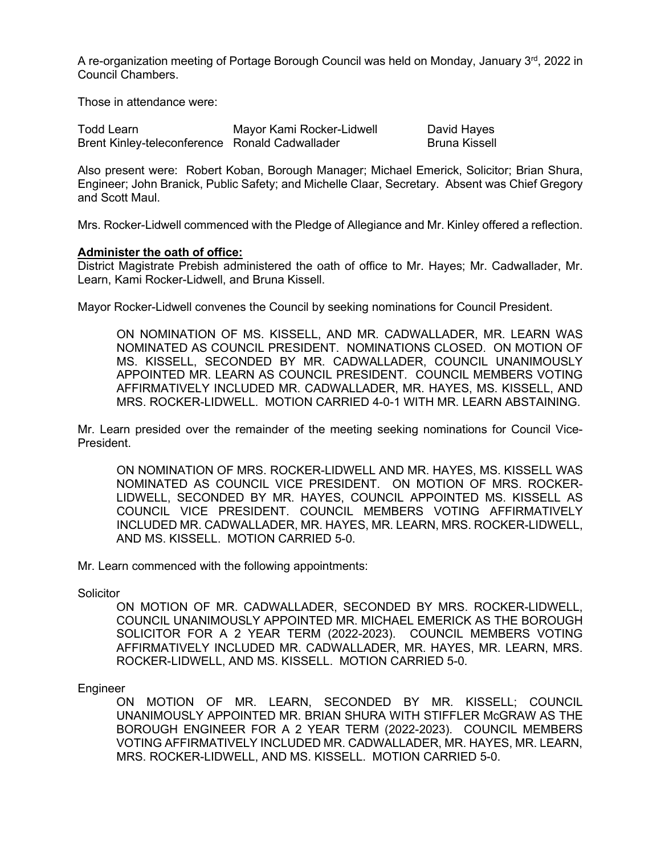A re-organization meeting of Portage Borough Council was held on Monday, January 3rd, 2022 in Council Chambers.

Those in attendance were:

| Todd Learn                                     | Mayor Kami Rocker-Lidwell | David Hayes     |
|------------------------------------------------|---------------------------|-----------------|
| Brent Kinley-teleconference Ronald Cadwallader |                           | - Bruna Kissell |

Also present were: Robert Koban, Borough Manager; Michael Emerick, Solicitor; Brian Shura, Engineer; John Branick, Public Safety; and Michelle Claar, Secretary. Absent was Chief Gregory and Scott Maul.

Mrs. Rocker-Lidwell commenced with the Pledge of Allegiance and Mr. Kinley offered a reflection.

## **Administer the oath of office:**

District Magistrate Prebish administered the oath of office to Mr. Hayes; Mr. Cadwallader, Mr. Learn, Kami Rocker-Lidwell, and Bruna Kissell.

Mayor Rocker-Lidwell convenes the Council by seeking nominations for Council President.

ON NOMINATION OF MS. KISSELL, AND MR. CADWALLADER, MR. LEARN WAS NOMINATED AS COUNCIL PRESIDENT. NOMINATIONS CLOSED. ON MOTION OF MS. KISSELL, SECONDED BY MR. CADWALLADER, COUNCIL UNANIMOUSLY APPOINTED MR. LEARN AS COUNCIL PRESIDENT. COUNCIL MEMBERS VOTING AFFIRMATIVELY INCLUDED MR. CADWALLADER, MR. HAYES, MS. KISSELL, AND MRS. ROCKER-LIDWELL. MOTION CARRIED 4-0-1 WITH MR. LEARN ABSTAINING.

Mr. Learn presided over the remainder of the meeting seeking nominations for Council Vice-President.

ON NOMINATION OF MRS. ROCKER-LIDWELL AND MR. HAYES, MS. KISSELL WAS NOMINATED AS COUNCIL VICE PRESIDENT. ON MOTION OF MRS. ROCKER-LIDWELL, SECONDED BY MR. HAYES, COUNCIL APPOINTED MS. KISSELL AS COUNCIL VICE PRESIDENT. COUNCIL MEMBERS VOTING AFFIRMATIVELY INCLUDED MR. CADWALLADER, MR. HAYES, MR. LEARN, MRS. ROCKER-LIDWELL, AND MS. KISSELL. MOTION CARRIED 5-0.

Mr. Learn commenced with the following appointments:

**Solicitor** 

ON MOTION OF MR. CADWALLADER, SECONDED BY MRS. ROCKER-LIDWELL, COUNCIL UNANIMOUSLY APPOINTED MR. MICHAEL EMERICK AS THE BOROUGH SOLICITOR FOR A 2 YEAR TERM (2022-2023). COUNCIL MEMBERS VOTING AFFIRMATIVELY INCLUDED MR. CADWALLADER, MR. HAYES, MR. LEARN, MRS. ROCKER-LIDWELL, AND MS. KISSELL. MOTION CARRIED 5-0.

Engineer

ON MOTION OF MR. LEARN, SECONDED BY MR. KISSELL; COUNCIL UNANIMOUSLY APPOINTED MR. BRIAN SHURA WITH STIFFLER McGRAW AS THE BOROUGH ENGINEER FOR A 2 YEAR TERM (2022-2023). COUNCIL MEMBERS VOTING AFFIRMATIVELY INCLUDED MR. CADWALLADER, MR. HAYES, MR. LEARN, MRS. ROCKER-LIDWELL, AND MS. KISSELL. MOTION CARRIED 5-0.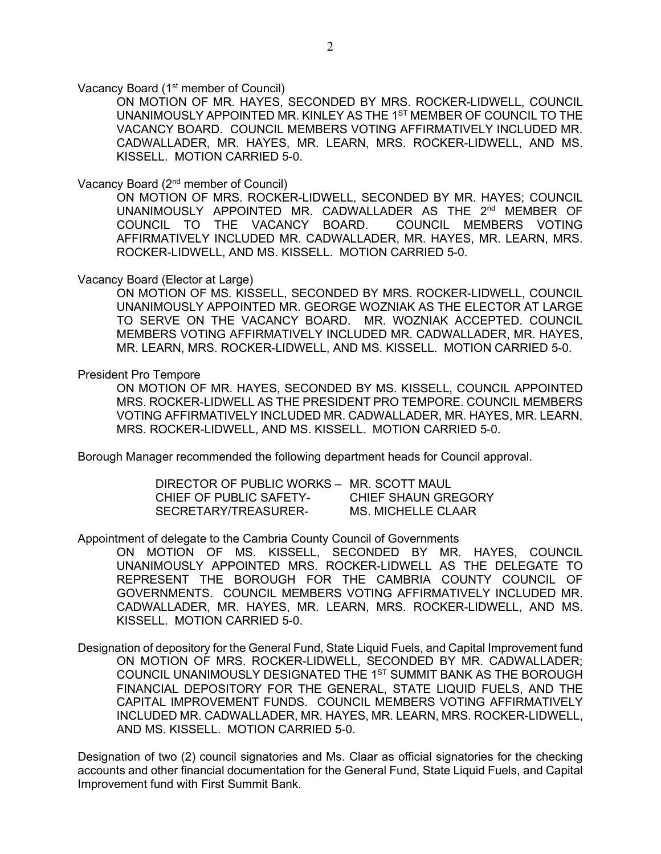Vacancy Board (1<sup>st</sup> member of Council)

ON MOTION OF MR. HAYES, SECONDED BY MRS. ROCKER-LIDWELL, COUNCIL UNANIMOUSLY APPOINTED MR. KINLEY AS THE 1<sup>ST</sup> MEMBER OF COUNCIL TO THE VACANCY BOARD. COUNCIL MEMBERS VOTING AFFIRMATIVELY INCLUDED MR. CADWALLADER, MR. HAYES, MR. LEARN, MRS. ROCKER-LIDWELL, AND MS. KISSELL. MOTION CARRIED 5-0.

Vacancy Board (2nd member of Council)

ON MOTION OF MRS. ROCKER-LIDWELL, SECONDED BY MR. HAYES; COUNCIL UNANIMOUSLY APPOINTED MR. CADWALLADER AS THE 2<sup>nd</sup> MEMBER OF COUNCIL TO THE VACANCY BOARD. COUNCIL MEMBERS VOTING AFFIRMATIVELY INCLUDED MR. CADWALLADER, MR. HAYES, MR. LEARN, MRS. ROCKER-LIDWELL, AND MS. KISSELL. MOTION CARRIED 5-0.

Vacancy Board (Elector at Large)

ON MOTION OF MS. KISSELL, SECONDED BY MRS. ROCKER-LIDWELL, COUNCIL UNANIMOUSLY APPOINTED MR. GEORGE WOZNIAK AS THE ELECTOR AT LARGE TO SERVE ON THE VACANCY BOARD. MR. WOZNIAK ACCEPTED. COUNCIL MEMBERS VOTING AFFIRMATIVELY INCLUDED MR. CADWALLADER, MR. HAYES, MR. LEARN, MRS. ROCKER-LIDWELL, AND MS. KISSELL. MOTION CARRIED 5-0.

President Pro Tempore

ON MOTION OF MR. HAYES, SECONDED BY MS. KISSELL, COUNCIL APPOINTED MRS. ROCKER-LIDWELL AS THE PRESIDENT PRO TEMPORE. COUNCIL MEMBERS VOTING AFFIRMATIVELY INCLUDED MR. CADWALLADER, MR. HAYES, MR. LEARN, MRS. ROCKER-LIDWELL, AND MS. KISSELL. MOTION CARRIED 5-0.

Borough Manager recommended the following department heads for Council approval.

DIRECTOR OF PUBLIC WORKS – MR. SCOTT MAUL CHIEF OF PUBLIC SAFETY- CHIEF SHAUN GREGORY<br>SECRETARY/TREASURER- MS. MICHELLE CLAAR SECRETARY/TREASURER-

Appointment of delegate to the Cambria County Council of Governments

ON MOTION OF MS. KISSELL, SECONDED BY MR. HAYES, COUNCIL UNANIMOUSLY APPOINTED MRS. ROCKER-LIDWELL AS THE DELEGATE TO REPRESENT THE BOROUGH FOR THE CAMBRIA COUNTY COUNCIL OF GOVERNMENTS. COUNCIL MEMBERS VOTING AFFIRMATIVELY INCLUDED MR. CADWALLADER, MR. HAYES, MR. LEARN, MRS. ROCKER-LIDWELL, AND MS. KISSELL. MOTION CARRIED 5-0.

Designation of depository for the General Fund, State Liquid Fuels, and Capital Improvement fund ON MOTION OF MRS. ROCKER-LIDWELL, SECONDED BY MR. CADWALLADER; COUNCIL UNANIMOUSLY DESIGNATED THE 1ST SUMMIT BANK AS THE BOROUGH FINANCIAL DEPOSITORY FOR THE GENERAL, STATE LIQUID FUELS, AND THE CAPITAL IMPROVEMENT FUNDS. COUNCIL MEMBERS VOTING AFFIRMATIVELY INCLUDED MR. CADWALLADER, MR. HAYES, MR. LEARN, MRS. ROCKER-LIDWELL, AND MS. KISSELL. MOTION CARRIED 5-0.

Designation of two (2) council signatories and Ms. Claar as official signatories for the checking accounts and other financial documentation for the General Fund, State Liquid Fuels, and Capital Improvement fund with First Summit Bank.